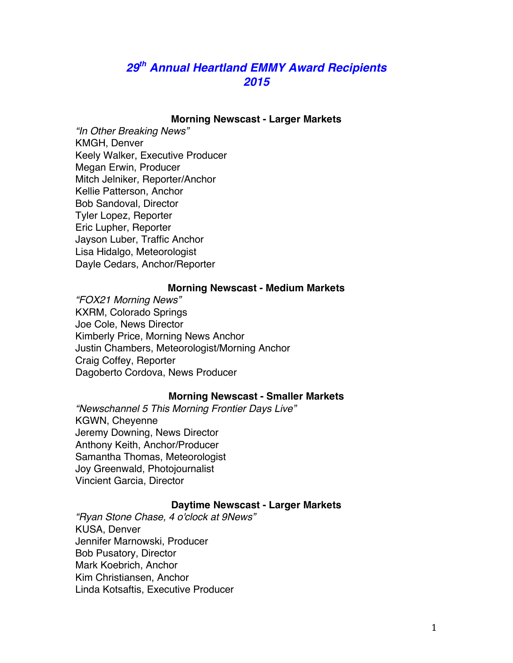# *29th Annual Heartland EMMY Award Recipients 2015*

### **Morning Newscast - Larger Markets**

*"In Other Breaking News"* KMGH, Denver Keely Walker, Executive Producer Megan Erwin, Producer Mitch Jelniker, Reporter/Anchor Kellie Patterson, Anchor Bob Sandoval, Director Tyler Lopez, Reporter Eric Lupher, Reporter Jayson Luber, Traffic Anchor Lisa Hidalgo, Meteorologist Dayle Cedars, Anchor/Reporter

#### **Morning Newscast - Medium Markets**

*"FOX21 Morning News"* KXRM, Colorado Springs Joe Cole, News Director Kimberly Price, Morning News Anchor Justin Chambers, Meteorologist/Morning Anchor Craig Coffey, Reporter Dagoberto Cordova, News Producer

### **Morning Newscast - Smaller Markets**

*"Newschannel 5 This Morning Frontier Days Live"* KGWN, Cheyenne Jeremy Downing, News Director Anthony Keith, Anchor/Producer Samantha Thomas, Meteorologist Joy Greenwald, Photojournalist Vincient Garcia, Director

#### **Daytime Newscast - Larger Markets**

*"Ryan Stone Chase, 4 o'clock at 9News"* KUSA, Denver Jennifer Marnowski, Producer Bob Pusatory, Director Mark Koebrich, Anchor Kim Christiansen, Anchor Linda Kotsaftis, Executive Producer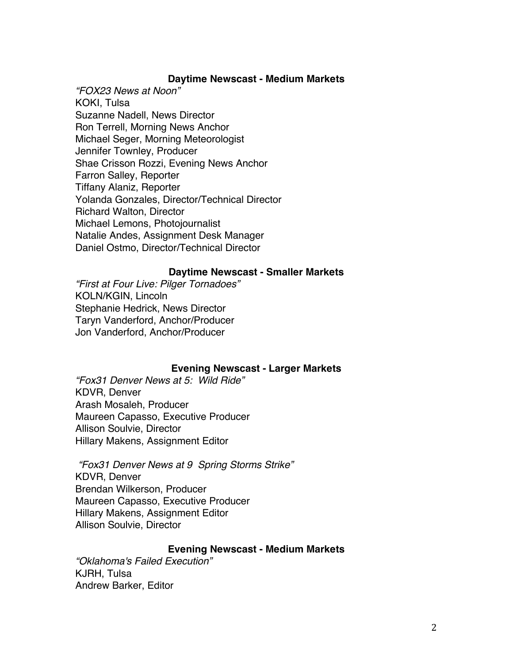### **Daytime Newscast - Medium Markets**

*"FOX23 News at Noon"* KOKI, Tulsa Suzanne Nadell, News Director Ron Terrell, Morning News Anchor Michael Seger, Morning Meteorologist Jennifer Townley, Producer Shae Crisson Rozzi, Evening News Anchor Farron Salley, Reporter Tiffany Alaniz, Reporter Yolanda Gonzales, Director/Technical Director Richard Walton, Director Michael Lemons, Photojournalist Natalie Andes, Assignment Desk Manager Daniel Ostmo, Director/Technical Director

### **Daytime Newscast - Smaller Markets**

*"First at Four Live: Pilger Tornadoes"* KOLN/KGIN, Lincoln Stephanie Hedrick, News Director Taryn Vanderford, Anchor/Producer Jon Vanderford, Anchor/Producer

### **Evening Newscast - Larger Markets**

*"Fox31 Denver News at 5: Wild Ride"* KDVR, Denver Arash Mosaleh, Producer Maureen Capasso, Executive Producer Allison Soulvie, Director Hillary Makens, Assignment Editor

*"Fox31 Denver News at 9 Spring Storms Strike"* KDVR, Denver Brendan Wilkerson, Producer Maureen Capasso, Executive Producer Hillary Makens, Assignment Editor Allison Soulvie, Director

### **Evening Newscast - Medium Markets**

*"Oklahoma's Failed Execution"* KJRH, Tulsa Andrew Barker, Editor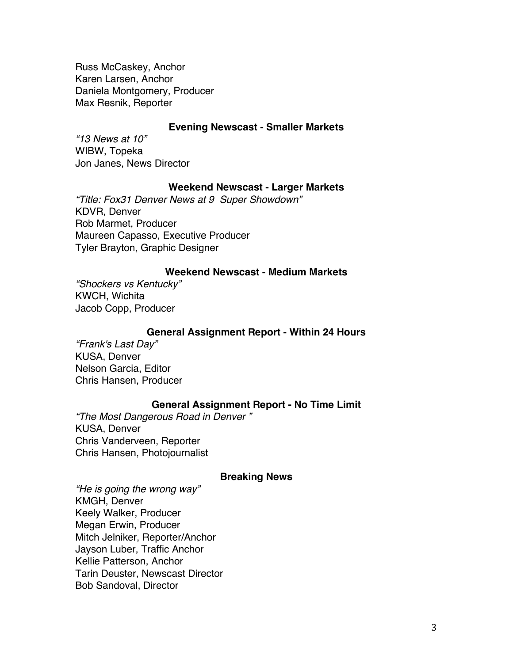Russ McCaskey, Anchor Karen Larsen, Anchor Daniela Montgomery, Producer Max Resnik, Reporter

#### **Evening Newscast - Smaller Markets**

*"13 News at 10"* WIBW, Topeka Jon Janes, News Director

### **Weekend Newscast - Larger Markets**

*"Title: Fox31 Denver News at 9 Super Showdown"* KDVR, Denver Rob Marmet, Producer Maureen Capasso, Executive Producer Tyler Brayton, Graphic Designer

# **Weekend Newscast - Medium Markets**

*"Shockers vs Kentucky"* KWCH, Wichita Jacob Copp, Producer

### **General Assignment Report - Within 24 Hours**

*"Frank's Last Day"* KUSA, Denver Nelson Garcia, Editor Chris Hansen, Producer

# **General Assignment Report - No Time Limit**

*"The Most Dangerous Road in Denver "* KUSA, Denver Chris Vanderveen, Reporter Chris Hansen, Photojournalist

#### **Breaking News**

*"He is going the wrong way"* KMGH, Denver Keely Walker, Producer Megan Erwin, Producer Mitch Jelniker, Reporter/Anchor Jayson Luber, Traffic Anchor Kellie Patterson, Anchor Tarin Deuster, Newscast Director Bob Sandoval, Director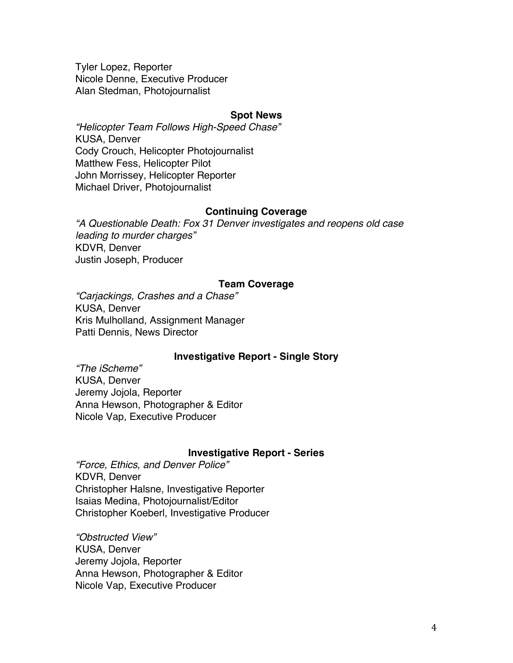Tyler Lopez, Reporter Nicole Denne, Executive Producer Alan Stedman, Photojournalist

### **Spot News**

*"Helicopter Team Follows High-Speed Chase"* KUSA, Denver Cody Crouch, Helicopter Photojournalist Matthew Fess, Helicopter Pilot John Morrissey, Helicopter Reporter Michael Driver, Photojournalist

### **Continuing Coverage**

*"A Questionable Death: Fox 31 Denver investigates and reopens old case leading to murder charges"* KDVR, Denver Justin Joseph, Producer

### **Team Coverage**

*"Carjackings, Crashes and a Chase"* KUSA, Denver Kris Mulholland, Assignment Manager Patti Dennis, News Director

### **Investigative Report - Single Story**

*"The iScheme"* KUSA, Denver Jeremy Jojola, Reporter Anna Hewson, Photographer & Editor Nicole Vap, Executive Producer

### **Investigative Report - Series**

*"Force, Ethics, and Denver Police"* KDVR, Denver Christopher Halsne, Investigative Reporter Isaias Medina, Photojournalist/Editor Christopher Koeberl, Investigative Producer

*"Obstructed View"* KUSA, Denver Jeremy Jojola, Reporter Anna Hewson, Photographer & Editor Nicole Vap, Executive Producer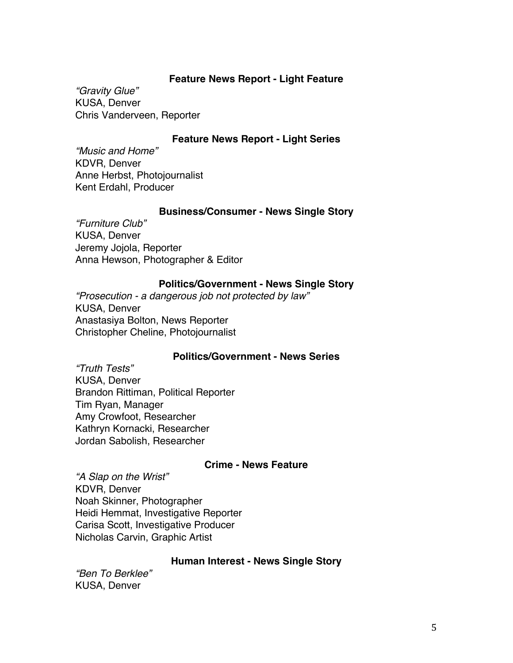# **Feature News Report - Light Feature**

*"Gravity Glue"* KUSA, Denver Chris Vanderveen, Reporter

# **Feature News Report - Light Series**

*"Music and Home"* KDVR, Denver Anne Herbst, Photojournalist Kent Erdahl, Producer

### **Business/Consumer - News Single Story**

*"Furniture Club"* KUSA, Denver Jeremy Jojola, Reporter Anna Hewson, Photographer & Editor

### **Politics/Government - News Single Story**

*"Prosecution - a dangerous job not protected by law"* KUSA, Denver Anastasiya Bolton, News Reporter Christopher Cheline, Photojournalist

### **Politics/Government - News Series**

*"Truth Tests"* KUSA, Denver Brandon Rittiman, Political Reporter Tim Ryan, Manager Amy Crowfoot, Researcher Kathryn Kornacki, Researcher Jordan Sabolish, Researcher

### **Crime - News Feature**

*"A Slap on the Wrist"* KDVR, Denver Noah Skinner, Photographer Heidi Hemmat, Investigative Reporter Carisa Scott, Investigative Producer Nicholas Carvin, Graphic Artist

### **Human Interest - News Single Story**

*"Ben To Berklee"* KUSA, Denver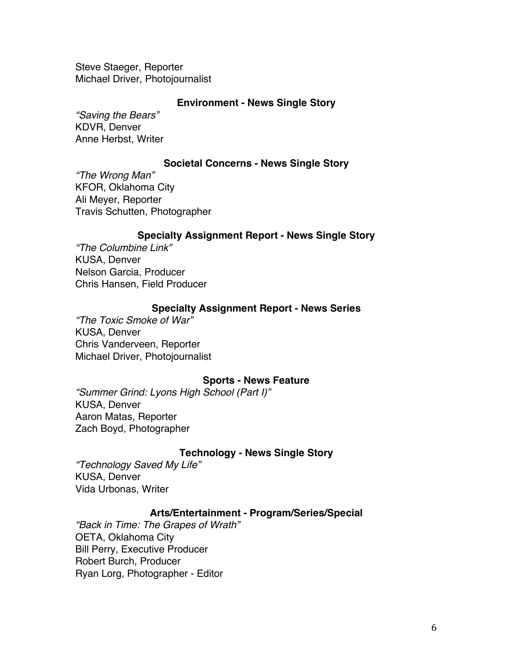Steve Staeger, Reporter Michael Driver, Photojournalist

### **Environment - News Single Story**

*"Saving the Bears"* KDVR, Denver Anne Herbst, Writer

### **Societal Concerns - News Single Story**

*"The Wrong Man"* KFOR, Oklahoma City Ali Meyer, Reporter Travis Schutten, Photographer

### **Specialty Assignment Report - News Single Story**

*"The Columbine Link"* KUSA, Denver Nelson Garcia, Producer Chris Hansen, Field Producer

### **Specialty Assignment Report - News Series**

*"The Toxic Smoke of War"* KUSA, Denver Chris Vanderveen, Reporter Michael Driver, Photojournalist

#### **Sports - News Feature**

*"Summer Grind: Lyons High School (Part I)"* KUSA, Denver Aaron Matas, Reporter Zach Boyd, Photographer

### **Technology - News Single Story**

*"Technology Saved My Life"* KUSA, Denver Vida Urbonas, Writer

#### **Arts/Entertainment - Program/Series/Special**

*"Back in Time: The Grapes of Wrath"* OETA, Oklahoma City Bill Perry, Executive Producer Robert Burch, Producer Ryan Lorg, Photographer - Editor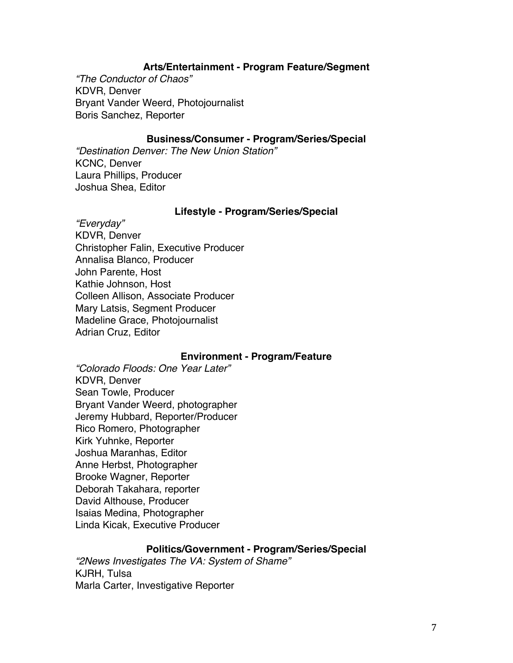# **Arts/Entertainment - Program Feature/Segment**

*"The Conductor of Chaos"* KDVR, Denver Bryant Vander Weerd, Photojournalist Boris Sanchez, Reporter

## **Business/Consumer - Program/Series/Special**

*"Destination Denver: The New Union Station"* KCNC, Denver Laura Phillips, Producer Joshua Shea, Editor

#### **Lifestyle - Program/Series/Special**

*"Everyday"* KDVR, Denver Christopher Falin, Executive Producer Annalisa Blanco, Producer John Parente, Host Kathie Johnson, Host Colleen Allison, Associate Producer Mary Latsis, Segment Producer Madeline Grace, Photojournalist Adrian Cruz, Editor

### **Environment - Program/Feature**

*"Colorado Floods: One Year Later"* KDVR, Denver Sean Towle, Producer Bryant Vander Weerd, photographer Jeremy Hubbard, Reporter/Producer Rico Romero, Photographer Kirk Yuhnke, Reporter Joshua Maranhas, Editor Anne Herbst, Photographer Brooke Wagner, Reporter Deborah Takahara, reporter David Althouse, Producer Isaias Medina, Photographer Linda Kicak, Executive Producer

## **Politics/Government - Program/Series/Special**

*"2News Investigates The VA: System of Shame"* KJRH, Tulsa Marla Carter, Investigative Reporter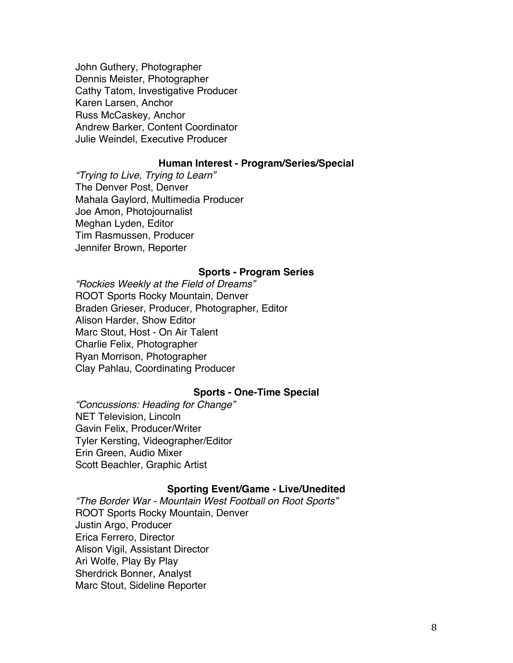John Guthery, Photographer Dennis Meister, Photographer Cathy Tatom, Investigative Producer Karen Larsen, Anchor Russ McCaskey, Anchor Andrew Barker, Content Coordinator Julie Weindel, Executive Producer

#### **Human Interest - Program/Series/Special**

*"Trying to Live, Trying to Learn"* The Denver Post, Denver Mahala Gaylord, Multimedia Producer Joe Amon, Photojournalist Meghan Lyden, Editor Tim Rasmussen, Producer Jennifer Brown, Reporter

#### **Sports - Program Series**

*"Rockies Weekly at the Field of Dreams"* ROOT Sports Rocky Mountain, Denver Braden Grieser, Producer, Photographer, Editor Alison Harder, Show Editor Marc Stout, Host - On Air Talent Charlie Felix, Photographer Ryan Morrison, Photographer Clay Pahlau, Coordinating Producer

### **Sports - One-Time Special**

*"Concussions: Heading for Change"* NET Television, Lincoln Gavin Felix, Producer/Writer Tyler Kersting, Videographer/Editor Erin Green, Audio Mixer Scott Beachler, Graphic Artist

#### **Sporting Event/Game - Live/Unedited**

*"The Border War - Mountain West Football on Root Sports"* ROOT Sports Rocky Mountain, Denver Justin Argo, Producer Erica Ferrero, Director Alison Vigil, Assistant Director Ari Wolfe, Play By Play Sherdrick Bonner, Analyst Marc Stout, Sideline Reporter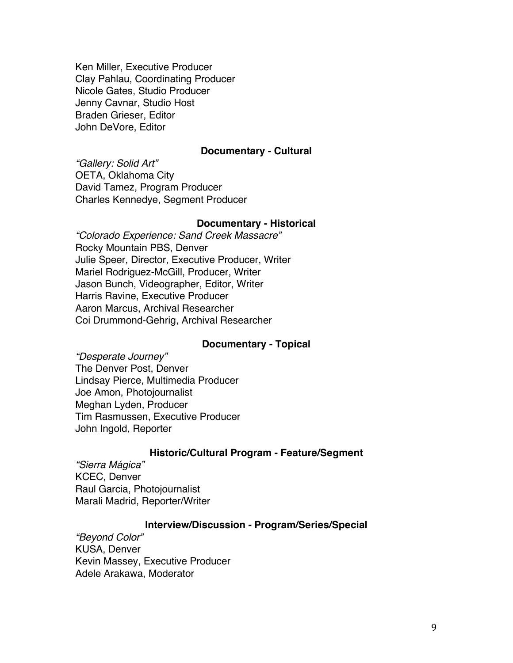Ken Miller, Executive Producer Clay Pahlau, Coordinating Producer Nicole Gates, Studio Producer Jenny Cavnar, Studio Host Braden Grieser, Editor John DeVore, Editor

#### **Documentary - Cultural**

*"Gallery: Solid Art"* OETA, Oklahoma City David Tamez, Program Producer Charles Kennedye, Segment Producer

#### **Documentary - Historical**

*"Colorado Experience: Sand Creek Massacre"* Rocky Mountain PBS, Denver Julie Speer, Director, Executive Producer, Writer Mariel Rodriguez-McGill, Producer, Writer Jason Bunch, Videographer, Editor, Writer Harris Ravine, Executive Producer Aaron Marcus, Archival Researcher Coi Drummond-Gehrig, Archival Researcher

#### **Documentary - Topical**

*"Desperate Journey"* The Denver Post, Denver Lindsay Pierce, Multimedia Producer Joe Amon, Photojournalist Meghan Lyden, Producer Tim Rasmussen, Executive Producer John Ingold, Reporter

#### **Historic/Cultural Program - Feature/Segment**

*"Sierra Mágica"* KCEC, Denver Raul Garcia, Photojournalist Marali Madrid, Reporter/Writer

### **Interview/Discussion - Program/Series/Special**

*"Beyond Color"* KUSA, Denver Kevin Massey, Executive Producer Adele Arakawa, Moderator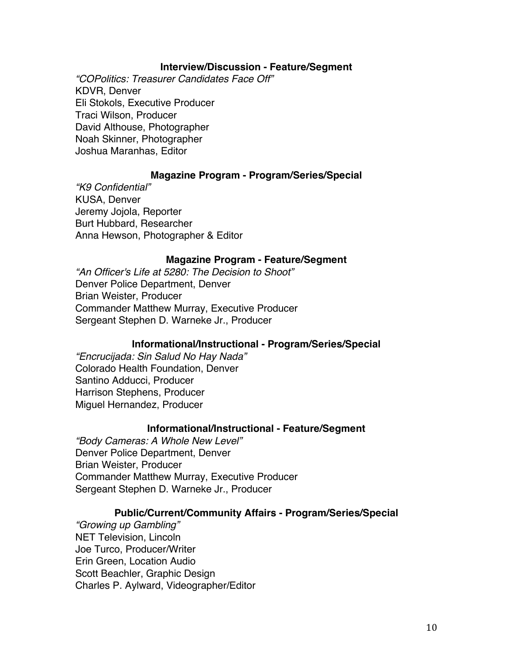### **Interview/Discussion - Feature/Segment**

*"COPolitics: Treasurer Candidates Face Off"* KDVR, Denver Eli Stokols, Executive Producer Traci Wilson, Producer David Althouse, Photographer Noah Skinner, Photographer Joshua Maranhas, Editor

### **Magazine Program - Program/Series/Special**

*"K9 Confidential"* KUSA, Denver Jeremy Jojola, Reporter Burt Hubbard, Researcher Anna Hewson, Photographer & Editor

#### **Magazine Program - Feature/Segment**

*"An Officer's Life at 5280: The Decision to Shoot"* Denver Police Department, Denver Brian Weister, Producer Commander Matthew Murray, Executive Producer Sergeant Stephen D. Warneke Jr., Producer

### **Informational/Instructional - Program/Series/Special**

*"Encrucijada: Sin Salud No Hay Nada"* Colorado Health Foundation, Denver Santino Adducci, Producer Harrison Stephens, Producer Miguel Hernandez, Producer

#### **Informational/Instructional - Feature/Segment**

*"Body Cameras: A Whole New Level"* Denver Police Department, Denver Brian Weister, Producer Commander Matthew Murray, Executive Producer Sergeant Stephen D. Warneke Jr., Producer

### **Public/Current/Community Affairs - Program/Series/Special**

*"Growing up Gambling"* NET Television, Lincoln Joe Turco, Producer/Writer Erin Green, Location Audio Scott Beachler, Graphic Design Charles P. Aylward, Videographer/Editor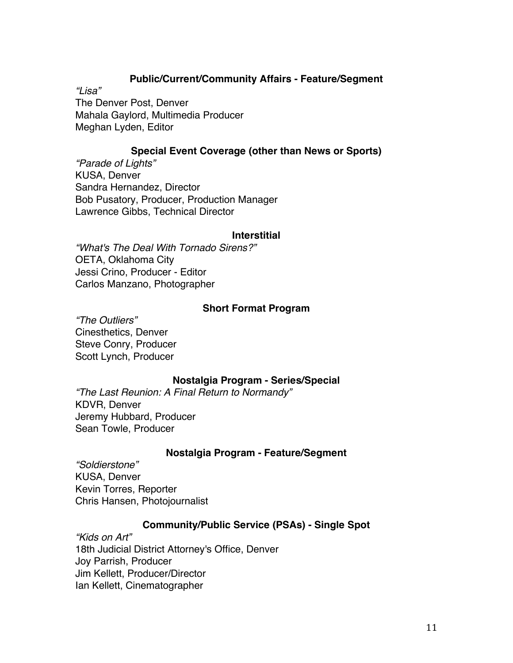# **Public/Current/Community Affairs - Feature/Segment**

*"Lisa"* The Denver Post, Denver Mahala Gaylord, Multimedia Producer Meghan Lyden, Editor

# **Special Event Coverage (other than News or Sports)**

*"Parade of Lights"* KUSA, Denver Sandra Hernandez, Director Bob Pusatory, Producer, Production Manager Lawrence Gibbs, Technical Director

#### **Interstitial**

*"What's The Deal With Tornado Sirens?"* OETA, Oklahoma City Jessi Crino, Producer - Editor Carlos Manzano, Photographer

#### **Short Format Program**

*"The Outliers"* Cinesthetics, Denver Steve Conry, Producer Scott Lynch, Producer

#### **Nostalgia Program - Series/Special**

*"The Last Reunion: A Final Return to Normandy"* KDVR, Denver Jeremy Hubbard, Producer Sean Towle, Producer

### **Nostalgia Program - Feature/Segment**

*"Soldierstone"* KUSA, Denver Kevin Torres, Reporter Chris Hansen, Photojournalist

### **Community/Public Service (PSAs) - Single Spot**

*"Kids on Art"* 18th Judicial District Attorney's Office, Denver Joy Parrish, Producer Jim Kellett, Producer/Director Ian Kellett, Cinematographer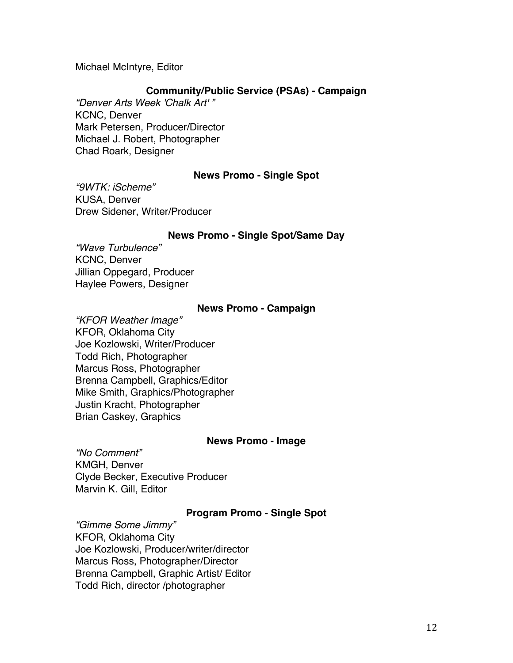## Michael McIntyre, Editor

## **Community/Public Service (PSAs) - Campaign**

*"Denver Arts Week 'Chalk Art' "* KCNC, Denver Mark Petersen, Producer/Director Michael J. Robert, Photographer Chad Roark, Designer

### **News Promo - Single Spot**

*"9WTK: iScheme"* KUSA, Denver Drew Sidener, Writer/Producer

### **News Promo - Single Spot/Same Day**

*"Wave Turbulence"* KCNC, Denver Jillian Oppegard, Producer Haylee Powers, Designer

### **News Promo - Campaign**

*"KFOR Weather Image"* KFOR, Oklahoma City Joe Kozlowski, Writer/Producer Todd Rich, Photographer Marcus Ross, Photographer Brenna Campbell, Graphics/Editor Mike Smith, Graphics/Photographer Justin Kracht, Photographer Brian Caskey, Graphics

#### **News Promo - Image**

*"No Comment"* KMGH, Denver Clyde Becker, Executive Producer Marvin K. Gill, Editor

### **Program Promo - Single Spot**

*"Gimme Some Jimmy"* KFOR, Oklahoma City Joe Kozlowski, Producer/writer/director Marcus Ross, Photographer/Director Brenna Campbell, Graphic Artist/ Editor Todd Rich, director /photographer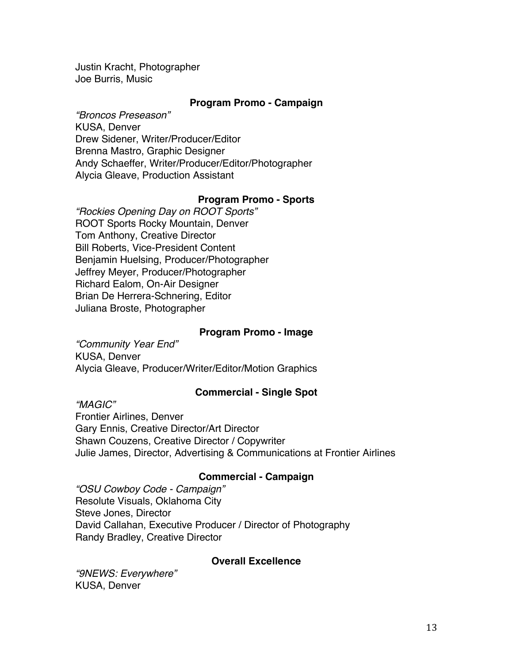Justin Kracht, Photographer Joe Burris, Music

# **Program Promo - Campaign**

*"Broncos Preseason"* KUSA, Denver Drew Sidener, Writer/Producer/Editor Brenna Mastro, Graphic Designer Andy Schaeffer, Writer/Producer/Editor/Photographer Alycia Gleave, Production Assistant

# **Program Promo - Sports**

*"Rockies Opening Day on ROOT Sports"* ROOT Sports Rocky Mountain, Denver Tom Anthony, Creative Director Bill Roberts, Vice-President Content Benjamin Huelsing, Producer/Photographer Jeffrey Meyer, Producer/Photographer Richard Ealom, On-Air Designer Brian De Herrera-Schnering, Editor Juliana Broste, Photographer

## **Program Promo - Image**

*"Community Year End"* KUSA, Denver Alycia Gleave, Producer/Writer/Editor/Motion Graphics

# **Commercial - Single Spot**

*"MAGIC"* Frontier Airlines, Denver Gary Ennis, Creative Director/Art Director Shawn Couzens, Creative Director / Copywriter Julie James, Director, Advertising & Communications at Frontier Airlines

# **Commercial - Campaign**

*"OSU Cowboy Code - Campaign"* Resolute Visuals, Oklahoma City Steve Jones, Director David Callahan, Executive Producer / Director of Photography Randy Bradley, Creative Director

# **Overall Excellence**

*"9NEWS: Everywhere"* KUSA, Denver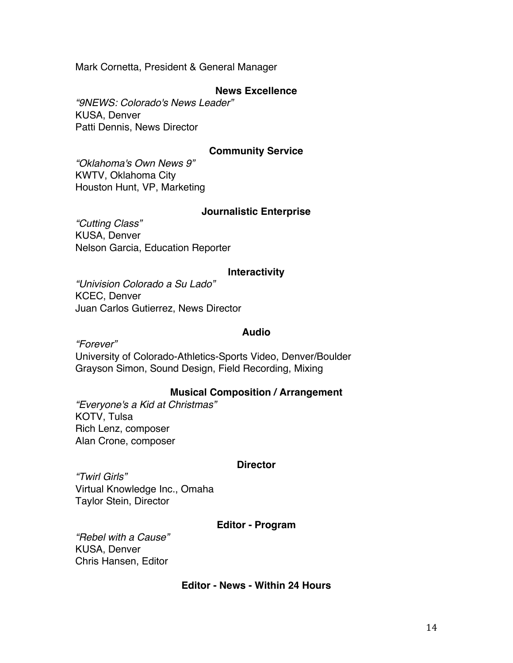Mark Cornetta, President & General Manager

# **News Excellence**

*"9NEWS: Colorado's News Leader"* KUSA, Denver Patti Dennis, News Director

# **Community Service**

*"Oklahoma's Own News 9"* KWTV, Oklahoma City Houston Hunt, VP, Marketing

### **Journalistic Enterprise**

*"Cutting Class"* KUSA, Denver Nelson Garcia, Education Reporter

### **Interactivity**

*"Univision Colorado a Su Lado"* KCEC, Denver Juan Carlos Gutierrez, News Director

# **Audio**

*"Forever"*

University of Colorado-Athletics-Sports Video, Denver/Boulder Grayson Simon, Sound Design, Field Recording, Mixing

### **Musical Composition / Arrangement**

*"Everyone's a Kid at Christmas"* KOTV, Tulsa Rich Lenz, composer Alan Crone, composer

### **Director**

*"Twirl Girls"* Virtual Knowledge Inc., Omaha Taylor Stein, Director

### **Editor - Program**

*"Rebel with a Cause"* KUSA, Denver Chris Hansen, Editor

### **Editor - News - Within 24 Hours**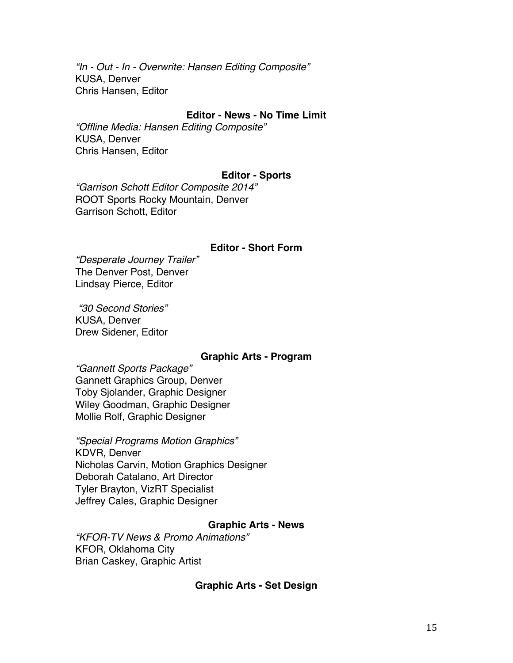*"In - Out - In - Overwrite: Hansen Editing Composite"* KUSA, Denver Chris Hansen, Editor

# **Editor - News - No Time Limit**

*"Offline Media: Hansen Editing Composite"* KUSA, Denver Chris Hansen, Editor

### **Editor - Sports**

*"Garrison Schott Editor Composite 2014"* ROOT Sports Rocky Mountain, Denver Garrison Schott, Editor

#### **Editor - Short Form**

*"Desperate Journey Trailer"* The Denver Post, Denver Lindsay Pierce, Editor

*"30 Second Stories"* KUSA, Denver Drew Sidener, Editor

#### **Graphic Arts - Program**

*"Gannett Sports Package"* Gannett Graphics Group, Denver Toby Sjolander, Graphic Designer Wiley Goodman, Graphic Designer Mollie Rolf, Graphic Designer

*"Special Programs Motion Graphics"* KDVR, Denver Nicholas Carvin, Motion Graphics Designer Deborah Catalano, Art Director Tyler Brayton, VizRT Specialist Jeffrey Cales, Graphic Designer

# **Graphic Arts - News**

*"KFOR-TV News & Promo Animations"* KFOR, Oklahoma City Brian Caskey, Graphic Artist

#### **Graphic Arts - Set Design**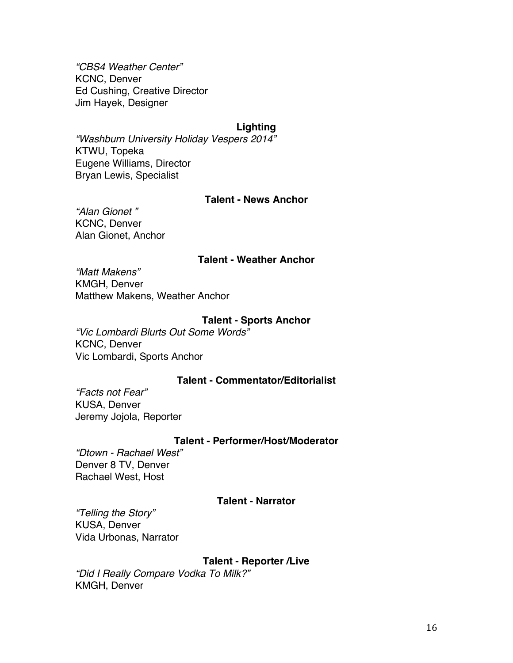*"CBS4 Weather Center"* KCNC, Denver Ed Cushing, Creative Director Jim Hayek, Designer

# **Lighting**

*"Washburn University Holiday Vespers 2014"* KTWU, Topeka Eugene Williams, Director Bryan Lewis, Specialist

# **Talent - News Anchor**

*"Alan Gionet "* KCNC, Denver Alan Gionet, Anchor

# **Talent - Weather Anchor**

*"Matt Makens"* KMGH, Denver Matthew Makens, Weather Anchor

#### **Talent - Sports Anchor**

*"Vic Lombardi Blurts Out Some Words"* KCNC, Denver Vic Lombardi, Sports Anchor

#### **Talent - Commentator/Editorialist**

*"Facts not Fear"* KUSA, Denver Jeremy Jojola, Reporter

### **Talent - Performer/Host/Moderator**

*"Dtown - Rachael West"* Denver 8 TV, Denver Rachael West, Host

#### **Talent - Narrator**

*"Telling the Story"* KUSA, Denver Vida Urbonas, Narrator

### **Talent - Reporter /Live**

*"Did I Really Compare Vodka To Milk?"* KMGH, Denver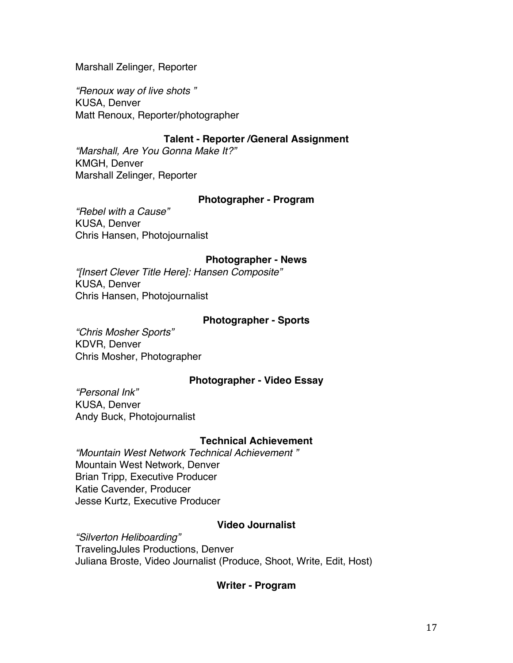Marshall Zelinger, Reporter

*"Renoux way of live shots "* KUSA, Denver Matt Renoux, Reporter/photographer

# **Talent - Reporter /General Assignment**

*"Marshall, Are You Gonna Make It?"* KMGH, Denver Marshall Zelinger, Reporter

# **Photographer - Program**

*"Rebel with a Cause"* KUSA, Denver Chris Hansen, Photojournalist

#### **Photographer - News**

*"[Insert Clever Title Here]: Hansen Composite"* KUSA, Denver Chris Hansen, Photojournalist

#### **Photographer - Sports**

*"Chris Mosher Sports"* KDVR, Denver Chris Mosher, Photographer

#### **Photographer - Video Essay**

*"Personal Ink"* KUSA, Denver Andy Buck, Photojournalist

### **Technical Achievement**

*"Mountain West Network Technical Achievement "* Mountain West Network, Denver Brian Tripp, Executive Producer Katie Cavender, Producer Jesse Kurtz, Executive Producer

# **Video Journalist**

*"Silverton Heliboarding"*

TravelingJules Productions, Denver Juliana Broste, Video Journalist (Produce, Shoot, Write, Edit, Host)

#### **Writer - Program**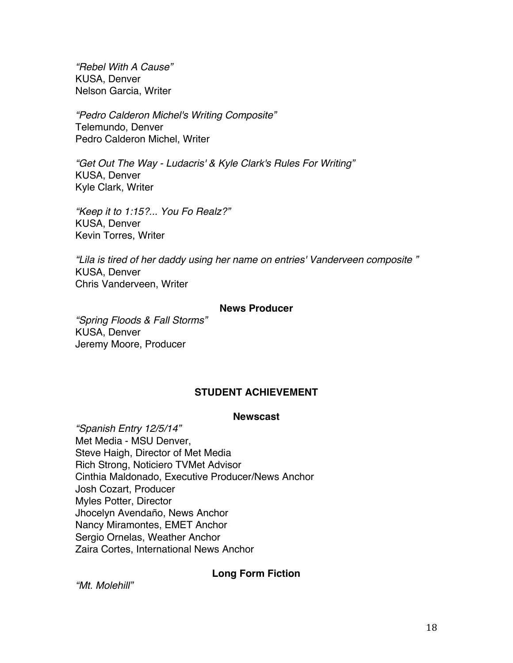*"Rebel With A Cause"* KUSA, Denver Nelson Garcia, Writer

*"Pedro Calderon Michel's Writing Composite"* Telemundo, Denver Pedro Calderon Michel, Writer

*"Get Out The Way - Ludacris' & Kyle Clark's Rules For Writing"* KUSA, Denver Kyle Clark, Writer

*"Keep it to 1:15?... You Fo Realz?"* KUSA, Denver Kevin Torres, Writer

*"Lila is tired of her daddy using her name on entries' Vanderveen composite "* KUSA, Denver Chris Vanderveen, Writer

### **News Producer**

*"Spring Floods & Fall Storms"* KUSA, Denver Jeremy Moore, Producer

# **STUDENT ACHIEVEMENT**

#### **Newscast**

*"Spanish Entry 12/5/14"* Met Media - MSU Denver, Steve Haigh, Director of Met Media Rich Strong, Noticiero TVMet Advisor Cinthia Maldonado, Executive Producer/News Anchor Josh Cozart, Producer Myles Potter, Director Jhocelyn Avendaño, News Anchor Nancy Miramontes, EMET Anchor Sergio Ornelas, Weather Anchor Zaira Cortes, International News Anchor

# **Long Form Fiction**

*"Mt. Molehill"*